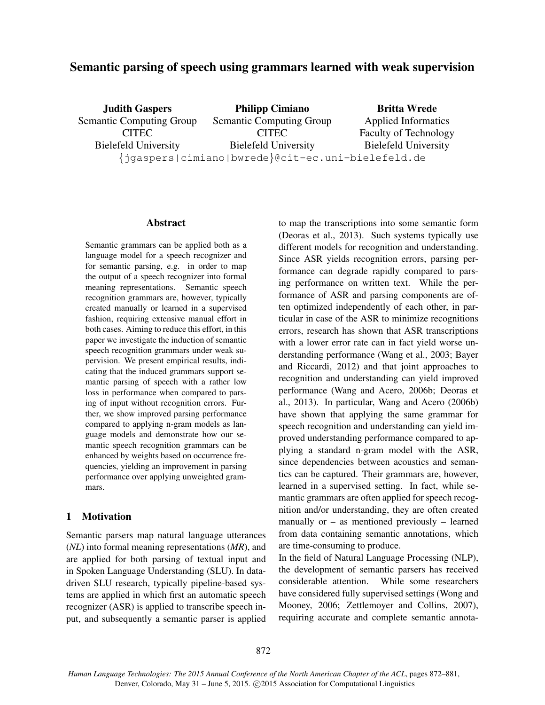# Semantic parsing of speech using grammars learned with weak supervision

Judith Gaspers Semantic Computing Group **CITEC** Bielefeld University Philipp Cimiano Semantic Computing Group **CITEC** Bielefeld University {jgaspers|cimiano|bwrede}@cit-ec.uni-bielefeld.de Britta Wrede Applied Informatics Faculty of Technology Bielefeld University

#### Abstract

Semantic grammars can be applied both as a language model for a speech recognizer and for semantic parsing, e.g. in order to map the output of a speech recognizer into formal meaning representations. Semantic speech recognition grammars are, however, typically created manually or learned in a supervised fashion, requiring extensive manual effort in both cases. Aiming to reduce this effort, in this paper we investigate the induction of semantic speech recognition grammars under weak supervision. We present empirical results, indicating that the induced grammars support semantic parsing of speech with a rather low loss in performance when compared to parsing of input without recognition errors. Further, we show improved parsing performance compared to applying n-gram models as language models and demonstrate how our semantic speech recognition grammars can be enhanced by weights based on occurrence frequencies, yielding an improvement in parsing performance over applying unweighted grammars.

### 1 Motivation

Semantic parsers map natural language utterances (*NL*) into formal meaning representations (*MR*), and are applied for both parsing of textual input and in Spoken Language Understanding (SLU). In datadriven SLU research, typically pipeline-based systems are applied in which first an automatic speech recognizer (ASR) is applied to transcribe speech input, and subsequently a semantic parser is applied to map the transcriptions into some semantic form (Deoras et al., 2013). Such systems typically use different models for recognition and understanding. Since ASR yields recognition errors, parsing performance can degrade rapidly compared to parsing performance on written text. While the performance of ASR and parsing components are often optimized independently of each other, in particular in case of the ASR to minimize recognitions errors, research has shown that ASR transcriptions with a lower error rate can in fact yield worse understanding performance (Wang et al., 2003; Bayer and Riccardi, 2012) and that joint approaches to recognition and understanding can yield improved performance (Wang and Acero, 2006b; Deoras et al., 2013). In particular, Wang and Acero (2006b) have shown that applying the same grammar for speech recognition and understanding can yield improved understanding performance compared to applying a standard n-gram model with the ASR, since dependencies between acoustics and semantics can be captured. Their grammars are, however, learned in a supervised setting. In fact, while semantic grammars are often applied for speech recognition and/or understanding, they are often created manually or – as mentioned previously – learned from data containing semantic annotations, which are time-consuming to produce.

In the field of Natural Language Processing (NLP), the development of semantic parsers has received considerable attention. While some researchers have considered fully supervised settings (Wong and Mooney, 2006; Zettlemoyer and Collins, 2007), requiring accurate and complete semantic annota-

*Human Language Technologies: The 2015 Annual Conference of the North American Chapter of the ACL*, pages 872–881, Denver, Colorado, May 31 - June 5, 2015. ©2015 Association for Computational Linguistics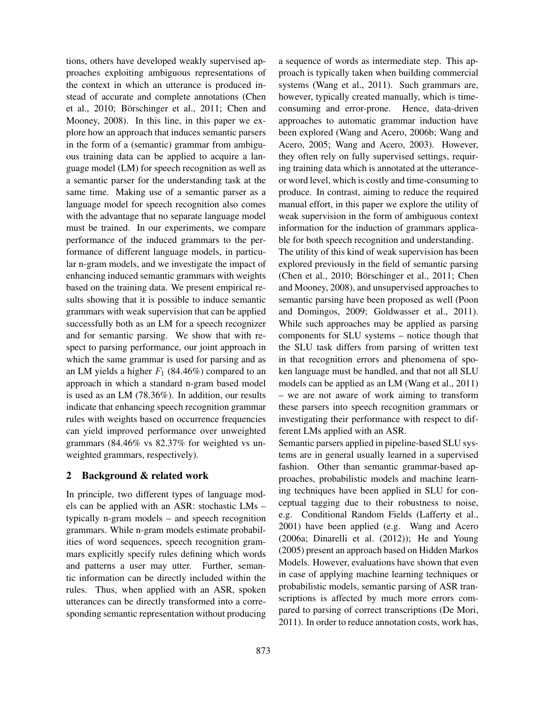tions, others have developed weakly supervised approaches exploiting ambiguous representations of the context in which an utterance is produced instead of accurate and complete annotations (Chen et al., 2010; Börschinger et al., 2011; Chen and Mooney, 2008). In this line, in this paper we explore how an approach that induces semantic parsers in the form of a (semantic) grammar from ambiguous training data can be applied to acquire a language model (LM) for speech recognition as well as a semantic parser for the understanding task at the same time. Making use of a semantic parser as a language model for speech recognition also comes with the advantage that no separate language model must be trained. In our experiments, we compare performance of the induced grammars to the performance of different language models, in particular n-gram models, and we investigate the impact of enhancing induced semantic grammars with weights based on the training data. We present empirical results showing that it is possible to induce semantic grammars with weak supervision that can be applied successfully both as an LM for a speech recognizer and for semantic parsing. We show that with respect to parsing performance, our joint approach in which the same grammar is used for parsing and as an LM yields a higher  $F_1$  (84.46%) compared to an approach in which a standard n-gram based model is used as an LM (78.36%). In addition, our results indicate that enhancing speech recognition grammar rules with weights based on occurrence frequencies can yield improved performance over unweighted grammars (84.46% vs 82.37% for weighted vs unweighted grammars, respectively).

## 2 Background & related work

In principle, two different types of language models can be applied with an ASR: stochastic LMs – typically n-gram models – and speech recognition grammars. While n-gram models estimate probabilities of word sequences, speech recognition grammars explicitly specify rules defining which words and patterns a user may utter. Further, semantic information can be directly included within the rules. Thus, when applied with an ASR, spoken utterances can be directly transformed into a corresponding semantic representation without producing a sequence of words as intermediate step. This approach is typically taken when building commercial systems (Wang et al., 2011). Such grammars are, however, typically created manually, which is timeconsuming and error-prone. Hence, data-driven approaches to automatic grammar induction have been explored (Wang and Acero, 2006b; Wang and Acero, 2005; Wang and Acero, 2003). However, they often rely on fully supervised settings, requiring training data which is annotated at the utteranceor word level, which is costly and time-consuming to produce. In contrast, aiming to reduce the required manual effort, in this paper we explore the utility of weak supervision in the form of ambiguous context information for the induction of grammars applicable for both speech recognition and understanding.

The utility of this kind of weak supervision has been explored previously in the field of semantic parsing (Chen et al., 2010; Börschinger et al., 2011; Chen and Mooney, 2008), and unsupervised approaches to semantic parsing have been proposed as well (Poon and Domingos, 2009; Goldwasser et al., 2011). While such approaches may be applied as parsing components for SLU systems – notice though that the SLU task differs from parsing of written text in that recognition errors and phenomena of spoken language must be handled, and that not all SLU models can be applied as an LM (Wang et al., 2011) – we are not aware of work aiming to transform these parsers into speech recognition grammars or investigating their performance with respect to different LMs applied with an ASR.

Semantic parsers applied in pipeline-based SLU systems are in general usually learned in a supervised fashion. Other than semantic grammar-based approaches, probabilistic models and machine learning techniques have been applied in SLU for conceptual tagging due to their robustness to noise, e.g. Conditional Random Fields (Lafferty et al., 2001) have been applied (e.g. Wang and Acero (2006a; Dinarelli et al. (2012)); He and Young (2005) present an approach based on Hidden Markos Models. However, evaluations have shown that even in case of applying machine learning techniques or probabilistic models, semantic parsing of ASR transcriptions is affected by much more errors compared to parsing of correct transcriptions (De Mori, 2011). In order to reduce annotation costs, work has,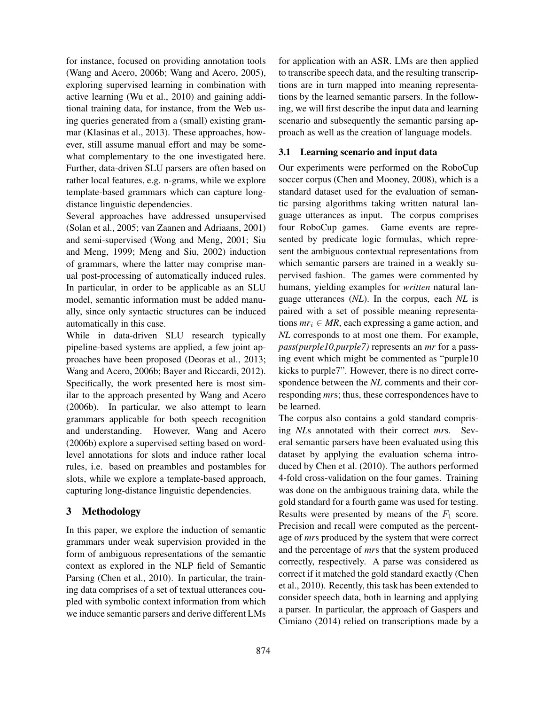for instance, focused on providing annotation tools (Wang and Acero, 2006b; Wang and Acero, 2005), exploring supervised learning in combination with active learning (Wu et al., 2010) and gaining additional training data, for instance, from the Web using queries generated from a (small) existing grammar (Klasinas et al., 2013). These approaches, however, still assume manual effort and may be somewhat complementary to the one investigated here. Further, data-driven SLU parsers are often based on rather local features, e.g. n-grams, while we explore template-based grammars which can capture longdistance linguistic dependencies.

Several approaches have addressed unsupervised (Solan et al., 2005; van Zaanen and Adriaans, 2001) and semi-supervised (Wong and Meng, 2001; Siu and Meng, 1999; Meng and Siu, 2002) induction of grammars, where the latter may comprise manual post-processing of automatically induced rules. In particular, in order to be applicable as an SLU model, semantic information must be added manually, since only syntactic structures can be induced automatically in this case.

While in data-driven SLU research typically pipeline-based systems are applied, a few joint approaches have been proposed (Deoras et al., 2013; Wang and Acero, 2006b; Bayer and Riccardi, 2012). Specifically, the work presented here is most similar to the approach presented by Wang and Acero (2006b). In particular, we also attempt to learn grammars applicable for both speech recognition and understanding. However, Wang and Acero (2006b) explore a supervised setting based on wordlevel annotations for slots and induce rather local rules, i.e. based on preambles and postambles for slots, while we explore a template-based approach, capturing long-distance linguistic dependencies.

## 3 Methodology

In this paper, we explore the induction of semantic grammars under weak supervision provided in the form of ambiguous representations of the semantic context as explored in the NLP field of Semantic Parsing (Chen et al., 2010). In particular, the training data comprises of a set of textual utterances coupled with symbolic context information from which we induce semantic parsers and derive different LMs for application with an ASR. LMs are then applied to transcribe speech data, and the resulting transcriptions are in turn mapped into meaning representations by the learned semantic parsers. In the following, we will first describe the input data and learning scenario and subsequently the semantic parsing approach as well as the creation of language models.

### 3.1 Learning scenario and input data

Our experiments were performed on the RoboCup soccer corpus (Chen and Mooney, 2008), which is a standard dataset used for the evaluation of semantic parsing algorithms taking written natural language utterances as input. The corpus comprises four RoboCup games. Game events are represented by predicate logic formulas, which represent the ambiguous contextual representations from which semantic parsers are trained in a weakly supervised fashion. The games were commented by humans, yielding examples for *written* natural language utterances (*NL*). In the corpus, each *NL* is paired with a set of possible meaning representations  $mr_i \in MR$ , each expressing a game action, and *NL* corresponds to at most one them. For example, *pass(purple10,purple7)* represents an *mr* for a passing event which might be commented as "purple10 kicks to purple7". However, there is no direct correspondence between the *NL* comments and their corresponding *mr*s; thus, these correspondences have to be learned.

The corpus also contains a gold standard comprising *NL*s annotated with their correct *mr*s. Several semantic parsers have been evaluated using this dataset by applying the evaluation schema introduced by Chen et al. (2010). The authors performed 4-fold cross-validation on the four games. Training was done on the ambiguous training data, while the gold standard for a fourth game was used for testing. Results were presented by means of the  $F_1$  score. Precision and recall were computed as the percentage of *mr*s produced by the system that were correct and the percentage of *mr*s that the system produced correctly, respectively. A parse was considered as correct if it matched the gold standard exactly (Chen et al., 2010). Recently, this task has been extended to consider speech data, both in learning and applying a parser. In particular, the approach of Gaspers and Cimiano (2014) relied on transcriptions made by a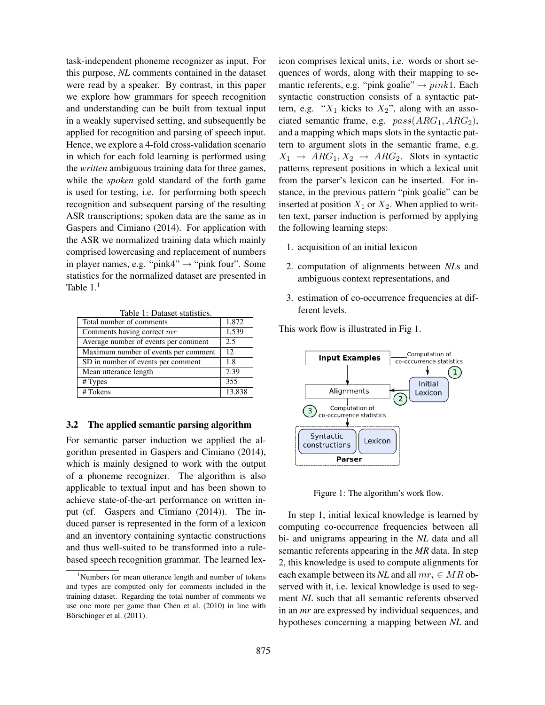task-independent phoneme recognizer as input. For this purpose, *NL* comments contained in the dataset were read by a speaker. By contrast, in this paper we explore how grammars for speech recognition and understanding can be built from textual input in a weakly supervised setting, and subsequently be applied for recognition and parsing of speech input. Hence, we explore a 4-fold cross-validation scenario in which for each fold learning is performed using the *written* ambiguous training data for three games, while the *spoken* gold standard of the forth game is used for testing, i.e. for performing both speech recognition and subsequent parsing of the resulting ASR transcriptions; spoken data are the same as in Gaspers and Cimiano (2014). For application with the ASR we normalized training data which mainly comprised lowercasing and replacement of numbers in player names, e.g. "pink4"  $\rightarrow$  "pink four". Some statistics for the normalized dataset are presented in Table  $1<sup>1</sup>$ 

Table 1: Dataset statistics.

| Total number of comments             | 1,872  |
|--------------------------------------|--------|
| Comments having correct mr           | 1,539  |
| Average number of events per comment | 2.5    |
| Maximum number of events per comment | 12     |
| SD in number of events per comment   | 1.8    |
| Mean utterance length                | 7.39   |
| # Types                              | 355    |
| # Tokens                             | 13,838 |

#### 3.2 The applied semantic parsing algorithm

For semantic parser induction we applied the algorithm presented in Gaspers and Cimiano (2014), which is mainly designed to work with the output of a phoneme recognizer. The algorithm is also applicable to textual input and has been shown to achieve state-of-the-art performance on written input (cf. Gaspers and Cimiano (2014)). The induced parser is represented in the form of a lexicon and an inventory containing syntactic constructions and thus well-suited to be transformed into a rulebased speech recognition grammar. The learned lexicon comprises lexical units, i.e. words or short sequences of words, along with their mapping to semantic referents, e.g. "pink goalie"  $\rightarrow pink1$ . Each syntactic construction consists of a syntactic pattern, e.g. " $X_1$  kicks to  $X_2$ ", along with an associated semantic frame, e.g.  $pass(ARG_1, ARG_2),$ and a mapping which maps slots in the syntactic pattern to argument slots in the semantic frame, e.g.  $X_1 \rightarrow ARG_1, X_2 \rightarrow ARG_2$ . Slots in syntactic patterns represent positions in which a lexical unit from the parser's lexicon can be inserted. For instance, in the previous pattern "pink goalie" can be inserted at position  $X_1$  or  $X_2$ . When applied to written text, parser induction is performed by applying the following learning steps:

- 1. acquisition of an initial lexicon
- 2. computation of alignments between *NL*s and ambiguous context representations, and
- 3. estimation of co-occurrence frequencies at different levels.

This work flow is illustrated in Fig 1.



Figure 1: The algorithm's work flow.

In step 1, initial lexical knowledge is learned by computing co-occurrence frequencies between all bi- and unigrams appearing in the *NL* data and all semantic referents appearing in the *MR* data. In step 2, this knowledge is used to compute alignments for each example between its *NL* and all  $mr_i \in MR$  observed with it, i.e. lexical knowledge is used to segment *NL* such that all semantic referents observed in an *mr* are expressed by individual sequences, and hypotheses concerning a mapping between *NL* and

<sup>&</sup>lt;sup>1</sup>Numbers for mean utterance length and number of tokens and types are computed only for comments included in the training dataset. Regarding the total number of comments we use one more per game than Chen et al. (2010) in line with Börschinger et al. (2011).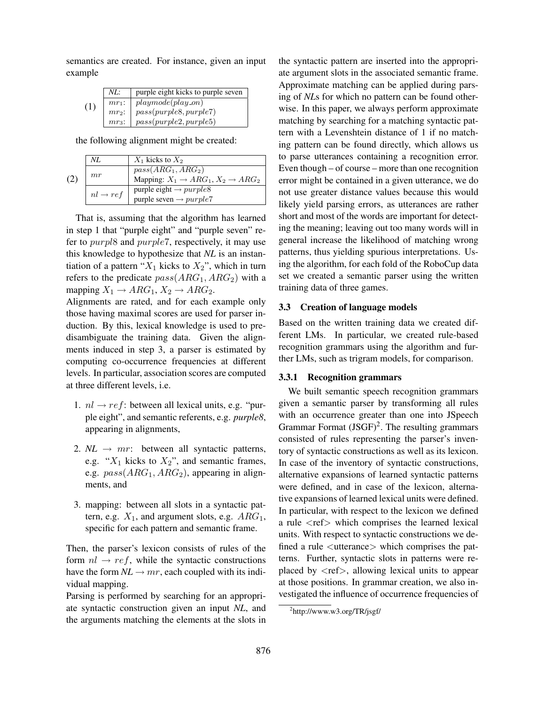semantics are created. For instance, given an input example

|     | NL:      | purple eight kicks to purple seven |
|-----|----------|------------------------------------|
| (1) | $mr_1$ : | $play mode(play\_on)$              |
|     | $mr_2$ : | $pass(purple8, purple7)$           |
|     | $mr_3$ : | pass(purple2, purple5)             |

the following alignment might be created:

| (2) | NL                   | $X_1$ kicks to $X_2$                                                               |
|-----|----------------------|------------------------------------------------------------------------------------|
|     | mr                   | $pass(ARG_1, ARG_2)$<br>Mapping: $X_1 \rightarrow ARG_1$ , $X_2 \rightarrow ARG_2$ |
|     | $nl \rightarrow ref$ | purple eight $\rightarrow purple8$<br>purple seven $\rightarrow purple7$           |

That is, assuming that the algorithm has learned in step 1 that "purple eight" and "purple seven" refer to purpl8 and purple7, respectively, it may use this knowledge to hypothesize that *NL* is an instantiation of a pattern " $X_1$  kicks to  $X_2$ ", which in turn refers to the predicate  $pass(ARG_1, ARG_2)$  with a mapping  $X_1 \rightarrow ARG_1$ ,  $X_2 \rightarrow ARG_2$ .

Alignments are rated, and for each example only those having maximal scores are used for parser induction. By this, lexical knowledge is used to predisambiguate the training data. Given the alignments induced in step 3, a parser is estimated by computing co-occurrence frequencies at different levels. In particular, association scores are computed at three different levels, i.e.

- 1.  $nl \rightarrow ref$ : between all lexical units, e.g. "purple eight", and semantic referents, e.g. *purple8*, appearing in alignments,
- 2.  $NL \rightarrow mr$ : between all syntactic patterns, e.g. " $X_1$  kicks to  $X_2$ ", and semantic frames, e.g.  $pass(ARG_1, ARG_2)$ , appearing in alignments, and
- 3. mapping: between all slots in a syntactic pattern, e.g.  $X_1$ , and argument slots, e.g.  $ARG_1$ , specific for each pattern and semantic frame.

Then, the parser's lexicon consists of rules of the form  $nl \rightarrow ref$ , while the syntactic constructions have the form  $NL \rightarrow mr$ , each coupled with its individual mapping.

Parsing is performed by searching for an appropriate syntactic construction given an input *NL*, and the arguments matching the elements at the slots in the syntactic pattern are inserted into the appropriate argument slots in the associated semantic frame. Approximate matching can be applied during parsing of *NL*s for which no pattern can be found otherwise. In this paper, we always perform approximate matching by searching for a matching syntactic pattern with a Levenshtein distance of 1 if no matching pattern can be found directly, which allows us to parse utterances containing a recognition error. Even though – of course – more than one recognition error might be contained in a given utterance, we do not use greater distance values because this would likely yield parsing errors, as utterances are rather short and most of the words are important for detecting the meaning; leaving out too many words will in general increase the likelihood of matching wrong patterns, thus yielding spurious interpretations. Using the algorithm, for each fold of the RoboCup data set we created a semantic parser using the written training data of three games.

#### 3.3 Creation of language models

Based on the written training data we created different LMs. In particular, we created rule-based recognition grammars using the algorithm and further LMs, such as trigram models, for comparison.

### 3.3.1 Recognition grammars

We built semantic speech recognition grammars given a semantic parser by transforming all rules with an occurrence greater than one into JSpeech Grammar Format  $(JSGF)^2$ . The resulting grammars consisted of rules representing the parser's inventory of syntactic constructions as well as its lexicon. In case of the inventory of syntactic constructions, alternative expansions of learned syntactic patterns were defined, and in case of the lexicon, alternative expansions of learned lexical units were defined. In particular, with respect to the lexicon we defined a rule <ref> which comprises the learned lexical units. With respect to syntactic constructions we defined a rule  $\lt$ utterance $>$  which comprises the patterns. Further, syntactic slots in patterns were replaced by  $\langle$ ref $\rangle$ , allowing lexical units to appear at those positions. In grammar creation, we also investigated the influence of occurrence frequencies of

<sup>&</sup>lt;sup>2</sup>http://www.w3.org/TR/jsgf/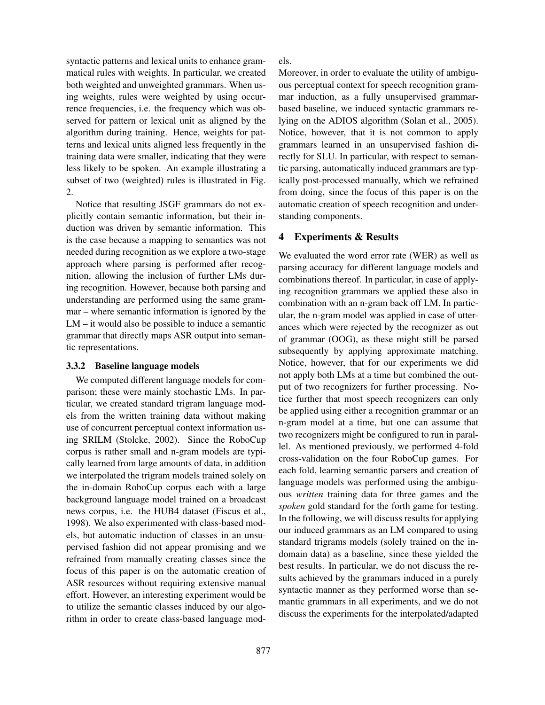syntactic patterns and lexical units to enhance grammatical rules with weights. In particular, we created both weighted and unweighted grammars. When using weights, rules were weighted by using occurrence frequencies, i.e. the frequency which was observed for pattern or lexical unit as aligned by the algorithm during training. Hence, weights for patterns and lexical units aligned less frequently in the training data were smaller, indicating that they were less likely to be spoken. An example illustrating a subset of two (weighted) rules is illustrated in Fig. 2.

Notice that resulting JSGF grammars do not explicitly contain semantic information, but their induction was driven by semantic information. This is the case because a mapping to semantics was not needed during recognition as we explore a two-stage approach where parsing is performed after recognition, allowing the inclusion of further LMs during recognition. However, because both parsing and understanding are performed using the same grammar – where semantic information is ignored by the LM – it would also be possible to induce a semantic grammar that directly maps ASR output into semantic representations.

### 3.3.2 Baseline language models

We computed different language models for comparison; these were mainly stochastic LMs. In particular, we created standard trigram language models from the written training data without making use of concurrent perceptual context information using SRILM (Stolcke, 2002). Since the RoboCup corpus is rather small and n-gram models are typically learned from large amounts of data, in addition we interpolated the trigram models trained solely on the in-domain RoboCup corpus each with a large background language model trained on a broadcast news corpus, i.e. the HUB4 dataset (Fiscus et al., 1998). We also experimented with class-based models, but automatic induction of classes in an unsupervised fashion did not appear promising and we refrained from manually creating classes since the focus of this paper is on the automatic creation of ASR resources without requiring extensive manual effort. However, an interesting experiment would be to utilize the semantic classes induced by our algorithm in order to create class-based language models.

Moreover, in order to evaluate the utility of ambiguous perceptual context for speech recognition grammar induction, as a fully unsupervised grammarbased baseline, we induced syntactic grammars relying on the ADIOS algorithm (Solan et al., 2005). Notice, however, that it is not common to apply grammars learned in an unsupervised fashion directly for SLU. In particular, with respect to semantic parsing, automatically induced grammars are typically post-processed manually, which we refrained from doing, since the focus of this paper is on the automatic creation of speech recognition and understanding components.

#### 4 Experiments & Results

We evaluated the word error rate (WER) as well as parsing accuracy for different language models and combinations thereof. In particular, in case of applying recognition grammars we applied these also in combination with an n-gram back off LM. In particular, the n-gram model was applied in case of utterances which were rejected by the recognizer as out of grammar (OOG), as these might still be parsed subsequently by applying approximate matching. Notice, however, that for our experiments we did not apply both LMs at a time but combined the output of two recognizers for further processing. Notice further that most speech recognizers can only be applied using either a recognition grammar or an n-gram model at a time, but one can assume that two recognizers might be configured to run in parallel. As mentioned previously, we performed 4-fold cross-validation on the four RoboCup games. For each fold, learning semantic parsers and creation of language models was performed using the ambiguous *written* training data for three games and the *spoken* gold standard for the forth game for testing. In the following, we will discuss results for applying our induced grammars as an LM compared to using standard trigrams models (solely trained on the indomain data) as a baseline, since these yielded the best results. In particular, we do not discuss the results achieved by the grammars induced in a purely syntactic manner as they performed worse than semantic grammars in all experiments, and we do not discuss the experiments for the interpolated/adapted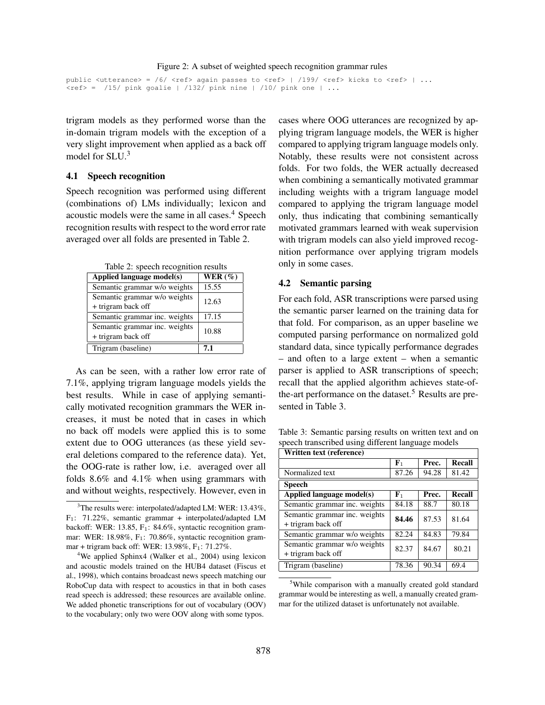public <utterance> = /6/ <ref> again passes to <ref> | /199/ <ref> kicks to <ref> | ...  $\text{Kerf}> =$  /15/ pink goalie | /132/ pink nine | /10/ pink one | ...

trigram models as they performed worse than the in-domain trigram models with the exception of a very slight improvement when applied as a back off model for SLU.<sup>3</sup>

#### 4.1 Speech recognition

Speech recognition was performed using different (combinations of) LMs individually; lexicon and acoustic models were the same in all cases.<sup>4</sup> Speech recognition results with respect to the word error rate averaged over all folds are presented in Table 2.

Table 2: speech recognition results

| Applied language model(s)     | WER $(\%)$ |  |
|-------------------------------|------------|--|
| Semantic grammar w/o weights  | 15.55      |  |
| Semantic grammar w/o weights  | 12.63      |  |
| + trigram back off            |            |  |
| Semantic grammar inc. weights | 17.15      |  |
| Semantic grammar inc. weights | 10.88      |  |
| + trigram back off            |            |  |
| Trigram (baseline)            | 7.1        |  |

As can be seen, with a rather low error rate of 7.1%, applying trigram language models yields the best results. While in case of applying semantically motivated recognition grammars the WER increases, it must be noted that in cases in which no back off models were applied this is to some extent due to OOG utterances (as these yield several deletions compared to the reference data). Yet, the OOG-rate is rather low, i.e. averaged over all folds 8.6% and 4.1% when using grammars with and without weights, respectively. However, even in

cases where OOG utterances are recognized by applying trigram language models, the WER is higher compared to applying trigram language models only. Notably, these results were not consistent across folds. For two folds, the WER actually decreased when combining a semantically motivated grammar including weights with a trigram language model compared to applying the trigram language model only, thus indicating that combining semantically motivated grammars learned with weak supervision with trigram models can also yield improved recognition performance over applying trigram models only in some cases.

#### 4.2 Semantic parsing

For each fold, ASR transcriptions were parsed using the semantic parser learned on the training data for that fold. For comparison, as an upper baseline we computed parsing performance on normalized gold standard data, since typically performance degrades – and often to a large extent – when a semantic parser is applied to ASR transcriptions of speech; recall that the applied algorithm achieves state-ofthe-art performance on the dataset.<sup>5</sup> Results are presented in Table 3.

Table 3: Semantic parsing results on written text and on speech transcribed using different language models <u>Written text (reference)</u>

| WHItten text (reference)                            |             |       |        |  |  |
|-----------------------------------------------------|-------------|-------|--------|--|--|
|                                                     | ${\bf F}_1$ | Prec. | Recall |  |  |
| Normalized text                                     | 87.26       | 94.28 | 81.42  |  |  |
| <b>Speech</b>                                       |             |       |        |  |  |
| Applied language model(s)                           | ${\bf F}_1$ | Prec. | Recall |  |  |
| Semantic grammar inc. weights                       | 84.18       | 88.7  | 80.18  |  |  |
| Semantic grammar inc. weights<br>+ trigram back off | 84.46       | 87.53 | 81.64  |  |  |
| Semantic grammar w/o weights                        | 82.24       | 84.83 | 79.84  |  |  |
| Semantic grammar w/o weights<br>+ trigram back off  | 82.37       | 84.67 | 80.21  |  |  |
| Trigram (baseline)                                  | 78.36       | 90.34 | 69.4   |  |  |

<sup>&</sup>lt;sup>5</sup>While comparison with a manually created gold standard grammar would be interesting as well, a manually created grammar for the utilized dataset is unfortunately not available.

 $3$ The results were: interpolated/adapted LM: WER: 13.43%, F1: 71.22%, semantic grammar + interpolated/adapted LM backoff: WER: 13.85, F<sub>1</sub>: 84.6%, syntactic recognition grammar: WER: 18.98%, F<sub>1</sub>: 70.86%, syntactic recognition grammar + trigram back off: WER:  $13.98\%$ , F<sub>1</sub>:  $71.27\%$ .

<sup>4</sup>We applied Sphinx4 (Walker et al., 2004) using lexicon and acoustic models trained on the HUB4 dataset (Fiscus et al., 1998), which contains broadcast news speech matching our RoboCup data with respect to acoustics in that in both cases read speech is addressed; these resources are available online. We added phonetic transcriptions for out of vocabulary (OOV) to the vocabulary; only two were OOV along with some typos.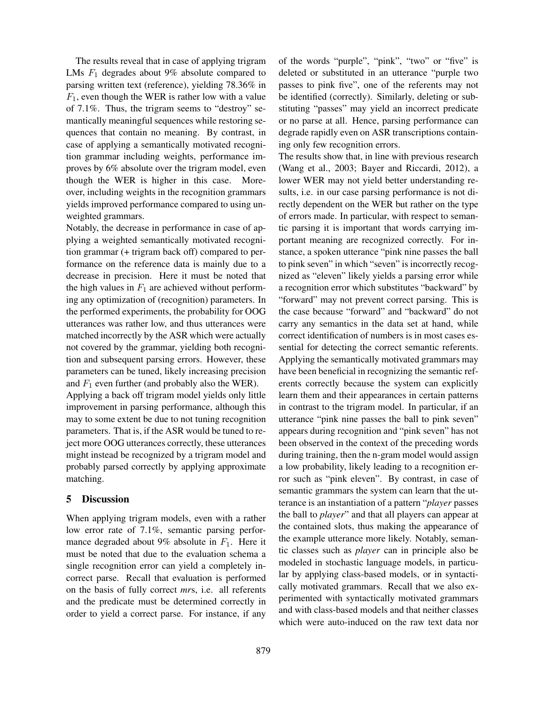The results reveal that in case of applying trigram LMs  $F_1$  degrades about 9% absolute compared to parsing written text (reference), yielding 78.36% in  $F_1$ , even though the WER is rather low with a value of 7.1%. Thus, the trigram seems to "destroy" semantically meaningful sequences while restoring sequences that contain no meaning. By contrast, in case of applying a semantically motivated recognition grammar including weights, performance improves by 6% absolute over the trigram model, even though the WER is higher in this case. Moreover, including weights in the recognition grammars yields improved performance compared to using unweighted grammars.

Notably, the decrease in performance in case of applying a weighted semantically motivated recognition grammar (+ trigram back off) compared to performance on the reference data is mainly due to a decrease in precision. Here it must be noted that the high values in  $F_1$  are achieved without performing any optimization of (recognition) parameters. In the performed experiments, the probability for OOG utterances was rather low, and thus utterances were matched incorrectly by the ASR which were actually not covered by the grammar, yielding both recognition and subsequent parsing errors. However, these parameters can be tuned, likely increasing precision and  $F_1$  even further (and probably also the WER).

Applying a back off trigram model yields only little improvement in parsing performance, although this may to some extent be due to not tuning recognition parameters. That is, if the ASR would be tuned to reject more OOG utterances correctly, these utterances might instead be recognized by a trigram model and probably parsed correctly by applying approximate matching.

### 5 Discussion

When applying trigram models, even with a rather low error rate of 7.1%, semantic parsing performance degraded about 9% absolute in  $F_1$ . Here it must be noted that due to the evaluation schema a single recognition error can yield a completely incorrect parse. Recall that evaluation is performed on the basis of fully correct *mr*s, i.e. all referents and the predicate must be determined correctly in order to yield a correct parse. For instance, if any of the words "purple", "pink", "two" or "five" is deleted or substituted in an utterance "purple two passes to pink five", one of the referents may not be identified (correctly). Similarly, deleting or substituting "passes" may yield an incorrect predicate or no parse at all. Hence, parsing performance can degrade rapidly even on ASR transcriptions containing only few recognition errors.

The results show that, in line with previous research (Wang et al., 2003; Bayer and Riccardi, 2012), a lower WER may not yield better understanding results, i.e. in our case parsing performance is not directly dependent on the WER but rather on the type of errors made. In particular, with respect to semantic parsing it is important that words carrying important meaning are recognized correctly. For instance, a spoken utterance "pink nine passes the ball to pink seven" in which "seven" is incorrectly recognized as "eleven" likely yields a parsing error while a recognition error which substitutes "backward" by "forward" may not prevent correct parsing. This is the case because "forward" and "backward" do not carry any semantics in the data set at hand, while correct identification of numbers is in most cases essential for detecting the correct semantic referents. Applying the semantically motivated grammars may have been beneficial in recognizing the semantic referents correctly because the system can explicitly learn them and their appearances in certain patterns in contrast to the trigram model. In particular, if an utterance "pink nine passes the ball to pink seven" appears during recognition and "pink seven" has not been observed in the context of the preceding words during training, then the n-gram model would assign a low probability, likely leading to a recognition error such as "pink eleven". By contrast, in case of semantic grammars the system can learn that the utterance is an instantiation of a pattern "*player* passes the ball to *player*" and that all players can appear at the contained slots, thus making the appearance of the example utterance more likely. Notably, semantic classes such as *player* can in principle also be modeled in stochastic language models, in particular by applying class-based models, or in syntactically motivated grammars. Recall that we also experimented with syntactically motivated grammars and with class-based models and that neither classes which were auto-induced on the raw text data nor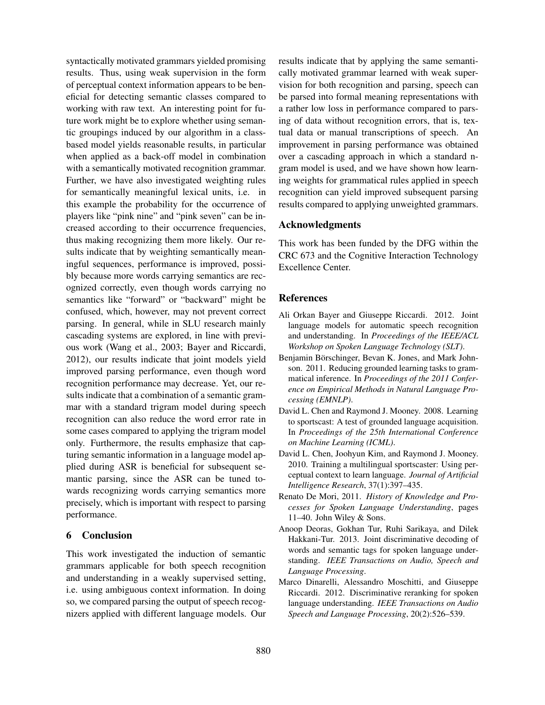syntactically motivated grammars yielded promising results. Thus, using weak supervision in the form of perceptual context information appears to be beneficial for detecting semantic classes compared to working with raw text. An interesting point for future work might be to explore whether using semantic groupings induced by our algorithm in a classbased model yields reasonable results, in particular when applied as a back-off model in combination with a semantically motivated recognition grammar. Further, we have also investigated weighting rules for semantically meaningful lexical units, i.e. in this example the probability for the occurrence of players like "pink nine" and "pink seven" can be increased according to their occurrence frequencies, thus making recognizing them more likely. Our results indicate that by weighting semantically meaningful sequences, performance is improved, possibly because more words carrying semantics are recognized correctly, even though words carrying no semantics like "forward" or "backward" might be confused, which, however, may not prevent correct parsing. In general, while in SLU research mainly cascading systems are explored, in line with previous work (Wang et al., 2003; Bayer and Riccardi, 2012), our results indicate that joint models yield improved parsing performance, even though word recognition performance may decrease. Yet, our results indicate that a combination of a semantic grammar with a standard trigram model during speech recognition can also reduce the word error rate in some cases compared to applying the trigram model only. Furthermore, the results emphasize that capturing semantic information in a language model applied during ASR is beneficial for subsequent semantic parsing, since the ASR can be tuned towards recognizing words carrying semantics more precisely, which is important with respect to parsing performance.

### 6 Conclusion

This work investigated the induction of semantic grammars applicable for both speech recognition and understanding in a weakly supervised setting, i.e. using ambiguous context information. In doing so, we compared parsing the output of speech recognizers applied with different language models. Our results indicate that by applying the same semantically motivated grammar learned with weak supervision for both recognition and parsing, speech can be parsed into formal meaning representations with a rather low loss in performance compared to parsing of data without recognition errors, that is, textual data or manual transcriptions of speech. An improvement in parsing performance was obtained over a cascading approach in which a standard ngram model is used, and we have shown how learning weights for grammatical rules applied in speech recognition can yield improved subsequent parsing results compared to applying unweighted grammars.

### Acknowledgments

This work has been funded by the DFG within the CRC 673 and the Cognitive Interaction Technology Excellence Center.

### References

- Ali Orkan Bayer and Giuseppe Riccardi. 2012. Joint language models for automatic speech recognition and understanding. In *Proceedings of the IEEE/ACL Workshop on Spoken Language Technology (SLT)*.
- Benjamin Börschinger, Bevan K. Jones, and Mark Johnson. 2011. Reducing grounded learning tasks to grammatical inference. In *Proceedings of the 2011 Conference on Empirical Methods in Natural Language Processing (EMNLP)*.
- David L. Chen and Raymond J. Mooney. 2008. Learning to sportscast: A test of grounded language acquisition. In *Proceedings of the 25th International Conference on Machine Learning (ICML)*.
- David L. Chen, Joohyun Kim, and Raymond J. Mooney. 2010. Training a multilingual sportscaster: Using perceptual context to learn language. *Journal of Artificial Intelligence Research*, 37(1):397–435.
- Renato De Mori, 2011. *History of Knowledge and Processes for Spoken Language Understanding*, pages 11–40. John Wiley & Sons.
- Anoop Deoras, Gokhan Tur, Ruhi Sarikaya, and Dilek Hakkani-Tur. 2013. Joint discriminative decoding of words and semantic tags for spoken language understanding. *IEEE Transactions on Audio, Speech and Language Processing*.
- Marco Dinarelli, Alessandro Moschitti, and Giuseppe Riccardi. 2012. Discriminative reranking for spoken language understanding. *IEEE Transactions on Audio Speech and Language Processing*, 20(2):526–539.